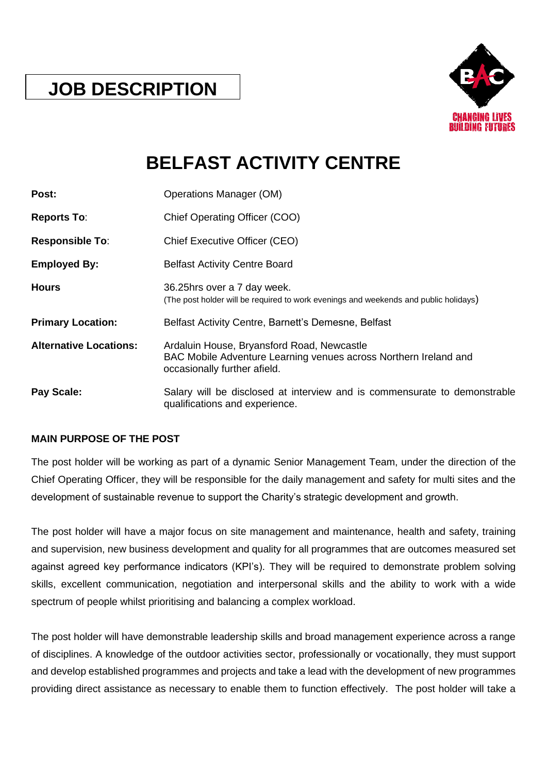## **JOB DESCRIPTION**



# **BELFAST ACTIVITY CENTRE**

| Post:                         | <b>Operations Manager (OM)</b>                                                                                                                 |
|-------------------------------|------------------------------------------------------------------------------------------------------------------------------------------------|
| <b>Reports To:</b>            | Chief Operating Officer (COO)                                                                                                                  |
| <b>Responsible To:</b>        | Chief Executive Officer (CEO)                                                                                                                  |
| <b>Employed By:</b>           | <b>Belfast Activity Centre Board</b>                                                                                                           |
| <b>Hours</b>                  | 36.25hrs over a 7 day week.<br>(The post holder will be required to work evenings and weekends and public holidays)                            |
| <b>Primary Location:</b>      | Belfast Activity Centre, Barnett's Demesne, Belfast                                                                                            |
| <b>Alternative Locations:</b> | Ardaluin House, Bryansford Road, Newcastle<br>BAC Mobile Adventure Learning venues across Northern Ireland and<br>occasionally further afield. |
| Pay Scale:                    | Salary will be disclosed at interview and is commensurate to demonstrable<br>qualifications and experience.                                    |

## **MAIN PURPOSE OF THE POST**

The post holder will be working as part of a dynamic Senior Management Team, under the direction of the Chief Operating Officer, they will be responsible for the daily management and safety for multi sites and the development of sustainable revenue to support the Charity's strategic development and growth.

The post holder will have a major focus on site management and maintenance, health and safety, training and supervision, new business development and quality for all programmes that are outcomes measured set against agreed key performance indicators (KPI's). They will be required to demonstrate problem solving skills, excellent communication, negotiation and interpersonal skills and the ability to work with a wide spectrum of people whilst prioritising and balancing a complex workload.

The post holder will have demonstrable leadership skills and broad management experience across a range of disciplines. A knowledge of the outdoor activities sector, professionally or vocationally, they must support and develop established programmes and projects and take a lead with the development of new programmes providing direct assistance as necessary to enable them to function effectively. The post holder will take a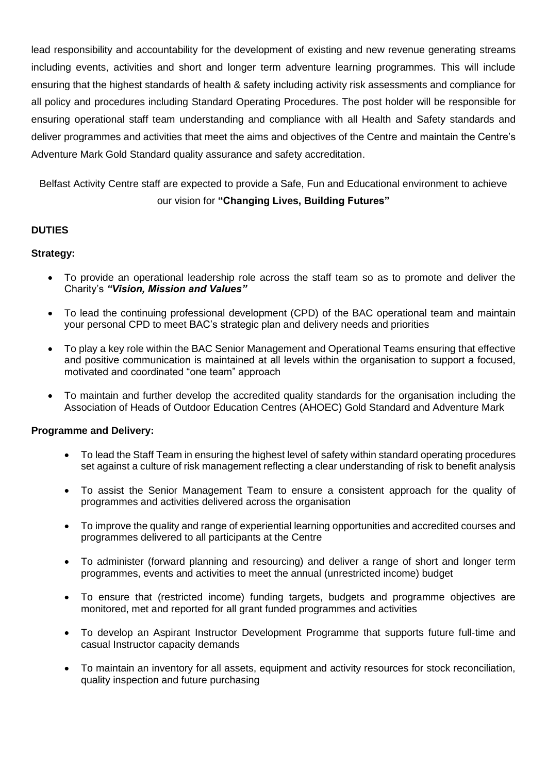lead responsibility and accountability for the development of existing and new revenue generating streams including events, activities and short and longer term adventure learning programmes. This will include ensuring that the highest standards of health & safety including activity risk assessments and compliance for all policy and procedures including Standard Operating Procedures. The post holder will be responsible for ensuring operational staff team understanding and compliance with all Health and Safety standards and deliver programmes and activities that meet the aims and objectives of the Centre and maintain the Centre's Adventure Mark Gold Standard quality assurance and safety accreditation.

Belfast Activity Centre staff are expected to provide a Safe, Fun and Educational environment to achieve our vision for **"Changing Lives, Building Futures"**

## **DUTIES**

### **Strategy:**

- To provide an operational leadership role across the staff team so as to promote and deliver the Charity's *"Vision, Mission and Values"*
- To lead the continuing professional development (CPD) of the BAC operational team and maintain your personal CPD to meet BAC's strategic plan and delivery needs and priorities
- To play a key role within the BAC Senior Management and Operational Teams ensuring that effective and positive communication is maintained at all levels within the organisation to support a focused, motivated and coordinated "one team" approach
- To maintain and further develop the accredited quality standards for the organisation including the Association of Heads of Outdoor Education Centres (AHOEC) Gold Standard and Adventure Mark

### **Programme and Delivery:**

- To lead the Staff Team in ensuring the highest level of safety within standard operating procedures set against a culture of risk management reflecting a clear understanding of risk to benefit analysis
- To assist the Senior Management Team to ensure a consistent approach for the quality of programmes and activities delivered across the organisation
- To improve the quality and range of experiential learning opportunities and accredited courses and programmes delivered to all participants at the Centre
- To administer (forward planning and resourcing) and deliver a range of short and longer term programmes, events and activities to meet the annual (unrestricted income) budget
- To ensure that (restricted income) funding targets, budgets and programme objectives are monitored, met and reported for all grant funded programmes and activities
- To develop an Aspirant Instructor Development Programme that supports future full-time and casual Instructor capacity demands
- To maintain an inventory for all assets, equipment and activity resources for stock reconciliation, quality inspection and future purchasing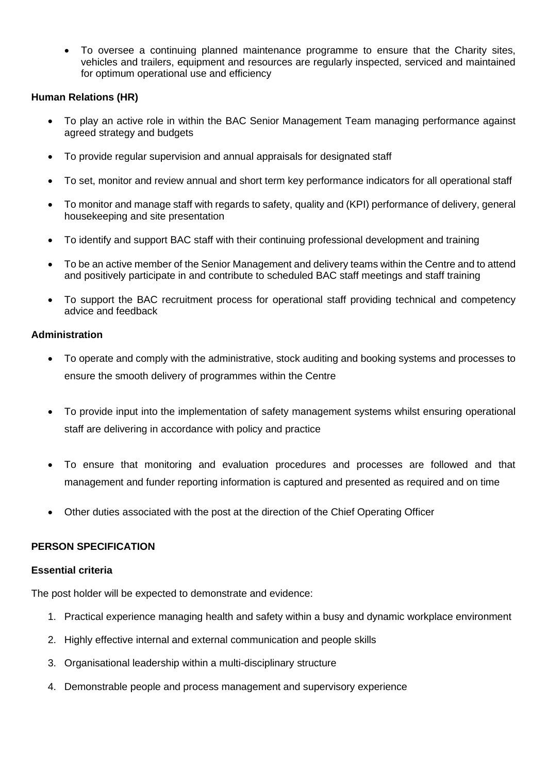• To oversee a continuing planned maintenance programme to ensure that the Charity sites, vehicles and trailers, equipment and resources are regularly inspected, serviced and maintained for optimum operational use and efficiency

## **Human Relations (HR)**

- To play an active role in within the BAC Senior Management Team managing performance against agreed strategy and budgets
- To provide regular supervision and annual appraisals for designated staff
- To set, monitor and review annual and short term key performance indicators for all operational staff
- To monitor and manage staff with regards to safety, quality and (KPI) performance of delivery, general housekeeping and site presentation
- To identify and support BAC staff with their continuing professional development and training
- To be an active member of the Senior Management and delivery teams within the Centre and to attend and positively participate in and contribute to scheduled BAC staff meetings and staff training
- To support the BAC recruitment process for operational staff providing technical and competency advice and feedback

### **Administration**

- To operate and comply with the administrative, stock auditing and booking systems and processes to ensure the smooth delivery of programmes within the Centre
- To provide input into the implementation of safety management systems whilst ensuring operational staff are delivering in accordance with policy and practice
- To ensure that monitoring and evaluation procedures and processes are followed and that management and funder reporting information is captured and presented as required and on time
- Other duties associated with the post at the direction of the Chief Operating Officer

### **PERSON SPECIFICATION**

### **Essential criteria**

The post holder will be expected to demonstrate and evidence:

- 1. Practical experience managing health and safety within a busy and dynamic workplace environment
- 2. Highly effective internal and external communication and people skills
- 3. Organisational leadership within a multi-disciplinary structure
- 4. Demonstrable people and process management and supervisory experience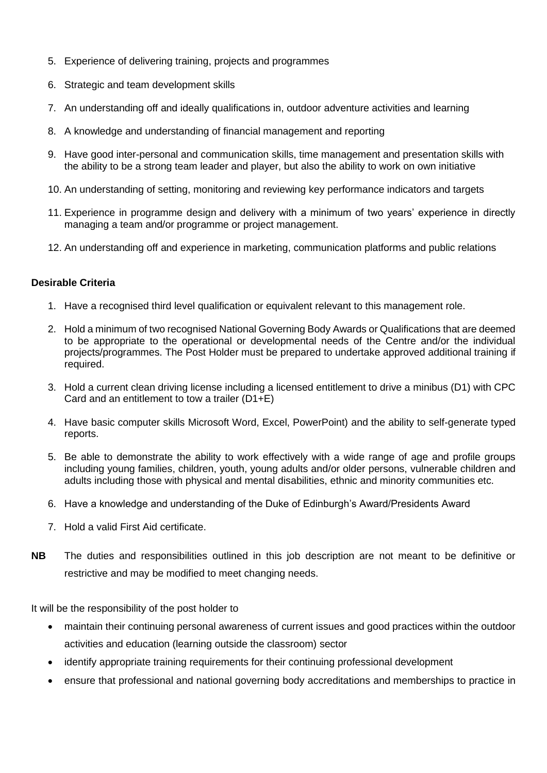- 5. Experience of delivering training, projects and programmes
- 6. Strategic and team development skills
- 7. An understanding off and ideally qualifications in, outdoor adventure activities and learning
- 8. A knowledge and understanding of financial management and reporting
- 9. Have good inter-personal and communication skills, time management and presentation skills with the ability to be a strong team leader and player, but also the ability to work on own initiative
- 10. An understanding of setting, monitoring and reviewing key performance indicators and targets
- 11. Experience in programme design and delivery with a minimum of two years' experience in directly managing a team and/or programme or project management.
- 12. An understanding off and experience in marketing, communication platforms and public relations

## **Desirable Criteria**

- 1. Have a recognised third level qualification or equivalent relevant to this management role.
- 2. Hold a minimum of two recognised National Governing Body Awards or Qualifications that are deemed to be appropriate to the operational or developmental needs of the Centre and/or the individual projects/programmes. The Post Holder must be prepared to undertake approved additional training if required.
- 3. Hold a current clean driving license including a licensed entitlement to drive a minibus (D1) with CPC Card and an entitlement to tow a trailer (D1+E)
- 4. Have basic computer skills Microsoft Word, Excel, PowerPoint) and the ability to self-generate typed reports.
- 5. Be able to demonstrate the ability to work effectively with a wide range of age and profile groups including young families, children, youth, young adults and/or older persons, vulnerable children and adults including those with physical and mental disabilities, ethnic and minority communities etc.
- 6. Have a knowledge and understanding of the Duke of Edinburgh's Award/Presidents Award
- 7. Hold a valid First Aid certificate.
- **NB** The duties and responsibilities outlined in this job description are not meant to be definitive or restrictive and may be modified to meet changing needs.

It will be the responsibility of the post holder to

- maintain their continuing personal awareness of current issues and good practices within the outdoor activities and education (learning outside the classroom) sector
- identify appropriate training requirements for their continuing professional development
- ensure that professional and national governing body accreditations and memberships to practice in